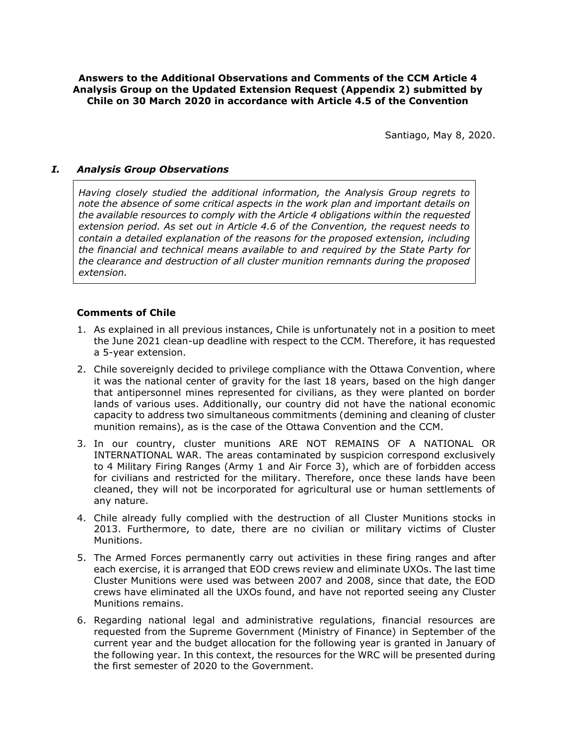**Answers to the Additional Observations and Comments of the CCM Article 4 Analysis Group on the Updated Extension Request (Appendix 2) submitted by Chile on 30 March 2020 in accordance with Article 4.5 of the Convention**

Santiago, May 8, 2020.

#### *I. Analysis Group Observations*

*Having closely studied the additional information, the Analysis Group regrets to note the absence of some critical aspects in the work plan and important details on the available resources to comply with the Article 4 obligations within the requested extension period. As set out in Article 4.6 of the Convention, the request needs to contain a detailed explanation of the reasons for the proposed extension, including the financial and technical means available to and required by the State Party for the clearance and destruction of all cluster munition remnants during the proposed extension.*

#### **Comments of Chile**

- 1. As explained in all previous instances, Chile is unfortunately not in a position to meet the June 2021 clean-up deadline with respect to the CCM. Therefore, it has requested a 5-year extension.
- 2. Chile sovereignly decided to privilege compliance with the Ottawa Convention, where it was the national center of gravity for the last 18 years, based on the high danger that antipersonnel mines represented for civilians, as they were planted on border lands of various uses. Additionally, our country did not have the national economic capacity to address two simultaneous commitments (demining and cleaning of cluster munition remains), as is the case of the Ottawa Convention and the CCM.
- 3. In our country, cluster munitions ARE NOT REMAINS OF A NATIONAL OR INTERNATIONAL WAR. The areas contaminated by suspicion correspond exclusively to 4 Military Firing Ranges (Army 1 and Air Force 3), which are of forbidden access for civilians and restricted for the military. Therefore, once these lands have been cleaned, they will not be incorporated for agricultural use or human settlements of any nature.
- 4. Chile already fully complied with the destruction of all Cluster Munitions stocks in 2013. Furthermore, to date, there are no civilian or military victims of Cluster Munitions.
- 5. The Armed Forces permanently carry out activities in these firing ranges and after each exercise, it is arranged that EOD crews review and eliminate UXOs. The last time Cluster Munitions were used was between 2007 and 2008, since that date, the EOD crews have eliminated all the UXOs found, and have not reported seeing any Cluster Munitions remains.
- 6. Regarding national legal and administrative regulations, financial resources are requested from the Supreme Government (Ministry of Finance) in September of the current year and the budget allocation for the following year is granted in January of the following year. In this context, the resources for the WRC will be presented during the first semester of 2020 to the Government.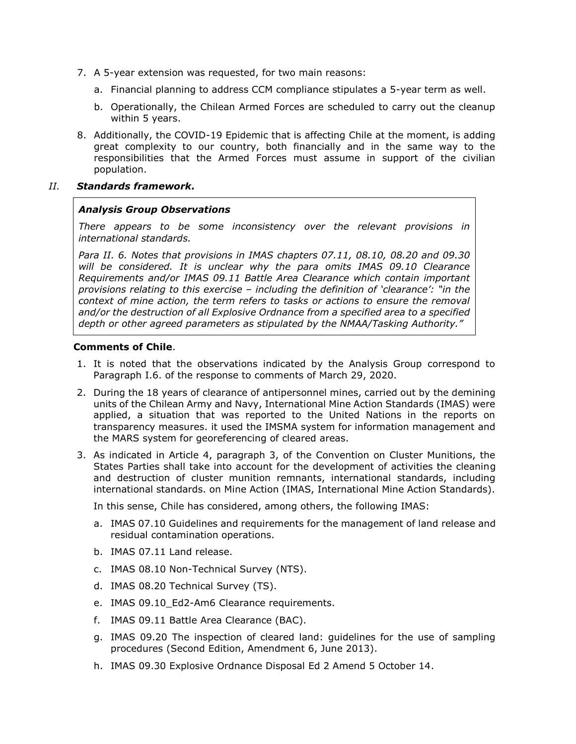- 7. A 5-year extension was requested, for two main reasons:
	- a. Financial planning to address CCM compliance stipulates a 5-year term as well.
	- b. Operationally, the Chilean Armed Forces are scheduled to carry out the cleanup within 5 years.
- 8. Additionally, the COVID-19 Epidemic that is affecting Chile at the moment, is adding great complexity to our country, both financially and in the same way to the responsibilities that the Armed Forces must assume in support of the civilian population.
- *II. Standards framework.*

#### *Analysis Group Observations*

*There appears to be some inconsistency over the relevant provisions in international standards.*

*Para II. 6. Notes that provisions in IMAS chapters 07.11, 08.10, 08.20 and 09.30 will be considered. It is unclear why the para omits IMAS 09.10 Clearance Requirements and/or IMAS 09.11 Battle Area Clearance which contain important provisions relating to this exercise – including the definition of 'clearance': "in the context of mine action, the term refers to tasks or actions to ensure the removal and/or the destruction of all Explosive Ordnance from a specified area to a specified depth or other agreed parameters as stipulated by the NMAA/Tasking Authority."* 

#### **Comments of Chile**.

- 1. It is noted that the observations indicated by the Analysis Group correspond to Paragraph I.6. of the response to comments of March 29, 2020.
- 2. During the 18 years of clearance of antipersonnel mines, carried out by the demining units of the Chilean Army and Navy, International Mine Action Standards (IMAS) were applied, a situation that was reported to the United Nations in the reports on transparency measures. it used the IMSMA system for information management and the MARS system for georeferencing of cleared areas.
- 3. As indicated in Article 4, paragraph 3, of the Convention on Cluster Munitions, the States Parties shall take into account for the development of activities the cleaning and destruction of cluster munition remnants, international standards, including international standards. on Mine Action (IMAS, International Mine Action Standards).

In this sense, Chile has considered, among others, the following IMAS:

- a. IMAS 07.10 Guidelines and requirements for the management of land release and residual contamination operations.
- b. IMAS 07.11 Land release.
- c. IMAS 08.10 Non-Technical Survey (NTS).
- d. IMAS 08.20 Technical Survey (TS).
- e. IMAS 09.10\_Ed2-Am6 Clearance requirements.
- f. IMAS 09.11 Battle Area Clearance (BAC).
- g. IMAS 09.20 The inspection of cleared land: guidelines for the use of sampling procedures (Second Edition, Amendment 6, June 2013).
- h. IMAS 09.30 Explosive Ordnance Disposal Ed 2 Amend 5 October 14.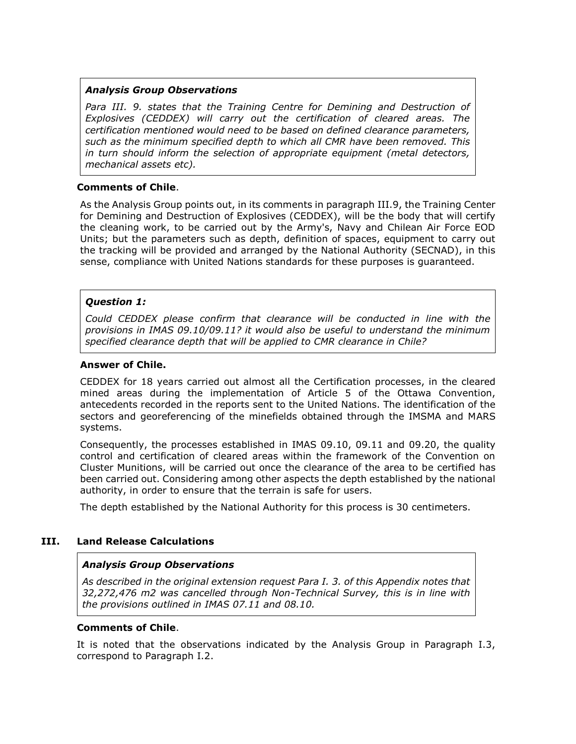### *Analysis Group Observations*

Para III. 9. states that the Training Centre for Demining and Destruction of *Explosives (CEDDEX) will carry out the certification of cleared areas. The certification mentioned would need to be based on defined clearance parameters, such as the minimum specified depth to which all CMR have been removed. This in turn should inform the selection of appropriate equipment (metal detectors, mechanical assets etc).*

#### **Comments of Chile**.

As the Analysis Group points out, in its comments in paragraph III.9, the Training Center for Demining and Destruction of Explosives (CEDDEX), will be the body that will certify the cleaning work, to be carried out by the Army's, Navy and Chilean Air Force EOD Units; but the parameters such as depth, definition of spaces, equipment to carry out the tracking will be provided and arranged by the National Authority (SECNAD), in this sense, compliance with United Nations standards for these purposes is guaranteed.

#### *Question 1:*

*Could CEDDEX please confirm that clearance will be conducted in line with the provisions in IMAS 09.10/09.11? it would also be useful to understand the minimum specified clearance depth that will be applied to CMR clearance in Chile?*

#### **Answer of Chile.**

CEDDEX for 18 years carried out almost all the Certification processes, in the cleared mined areas during the implementation of Article 5 of the Ottawa Convention, antecedents recorded in the reports sent to the United Nations. The identification of the sectors and georeferencing of the minefields obtained through the IMSMA and MARS systems.

Consequently, the processes established in IMAS 09.10, 09.11 and 09.20, the quality control and certification of cleared areas within the framework of the Convention on Cluster Munitions, will be carried out once the clearance of the area to be certified has been carried out. Considering among other aspects the depth established by the national authority, in order to ensure that the terrain is safe for users.

The depth established by the National Authority for this process is 30 centimeters.

#### **III. Land Release Calculations**

#### *Analysis Group Observations*

*As described in the original extension request Para I. 3. of this Appendix notes that 32,272,476 m2 was cancelled through Non-Technical Survey, this is in line with the provisions outlined in IMAS 07.11 and 08.10.*

#### **Comments of Chile**.

It is noted that the observations indicated by the Analysis Group in Paragraph I.3, correspond to Paragraph I.2.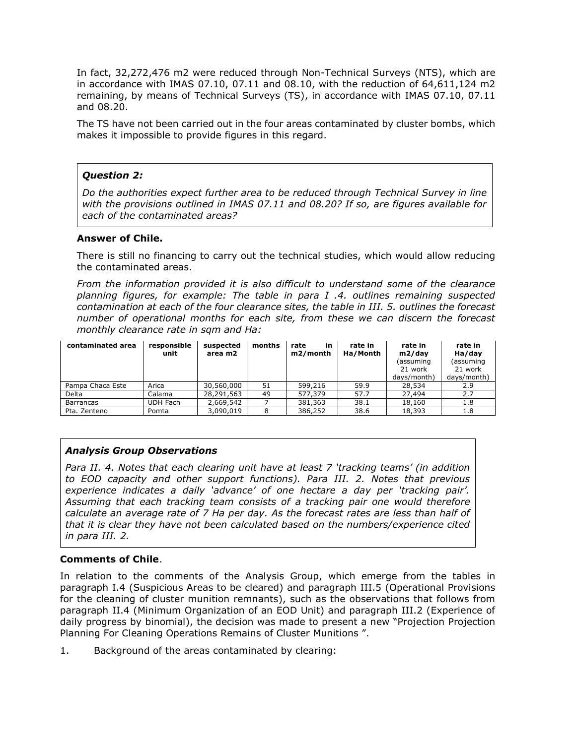In fact, 32,272,476 m2 were reduced through Non-Technical Surveys (NTS), which are in accordance with IMAS 07.10, 07.11 and 08.10, with the reduction of 64,611,124 m2 remaining, by means of Technical Surveys (TS), in accordance with IMAS 07.10, 07.11 and 08.20.

The TS have not been carried out in the four areas contaminated by cluster bombs, which makes it impossible to provide figures in this regard.

### *Question 2:*

*Do the authorities expect further area to be reduced through Technical Survey in line with the provisions outlined in IMAS 07.11 and 08.20? If so, are figures available for each of the contaminated areas?*

#### **Answer of Chile.**

There is still no financing to carry out the technical studies, which would allow reducing the contaminated areas.

*From the information provided it is also difficult to understand some of the clearance planning figures, for example: The table in para I .4. outlines remaining suspected contamination at each of the four clearance sites, the table in III. 5. outlines the forecast number of operational months for each site, from these we can discern the forecast monthly clearance rate in sqm and Ha:*

| contaminated area | responsible | suspected  | months | rate<br>in. | rate in  | rate in     | rate in     |
|-------------------|-------------|------------|--------|-------------|----------|-------------|-------------|
|                   | unit        | area m2    |        | m2/month    | Ha/Month | $m2$ /day   | Ha/day      |
|                   |             |            |        |             |          | (assuming   | assuming)   |
|                   |             |            |        |             |          | 21 work     | 21 work     |
|                   |             |            |        |             |          | days/month) | days/month) |
| Pampa Chaca Este  | Arica       | 30,560,000 | 51     | 599,216     | 59.9     | 28,534      | 2.9         |
| Delta             | Calama      | 28,291,563 | 49     | 577,379     | 57.7     | 27,494      | 2.7         |
| <b>Barrancas</b>  | UDH Fach    | 2,669,542  |        | 381,363     | 38.1     | 18,160      | 1.8         |
| Pta. Zenteno      | Pomta       | 3,090,019  |        | 386,252     | 38.6     | 18,393      | 1.8         |

#### *Analysis Group Observations*

*Para II. 4. Notes that each clearing unit have at least 7 'tracking teams' (in addition to EOD capacity and other support functions). Para III. 2. Notes that previous experience indicates a daily 'advance' of one hectare a day per 'tracking pair'. Assuming that each tracking team consists of a tracking pair one would therefore calculate an average rate of 7 Ha per day. As the forecast rates are less than half of that it is clear they have not been calculated based on the numbers/experience cited in para III. 2.*

#### **Comments of Chile**.

In relation to the comments of the Analysis Group, which emerge from the tables in paragraph I.4 (Suspicious Areas to be cleared) and paragraph III.5 (Operational Provisions for the cleaning of cluster munition remnants), such as the observations that follows from paragraph II.4 (Minimum Organization of an EOD Unit) and paragraph III.2 (Experience of daily progress by binomial), the decision was made to present a new "Projection Projection Planning For Cleaning Operations Remains of Cluster Munitions ".

1. Background of the areas contaminated by clearing: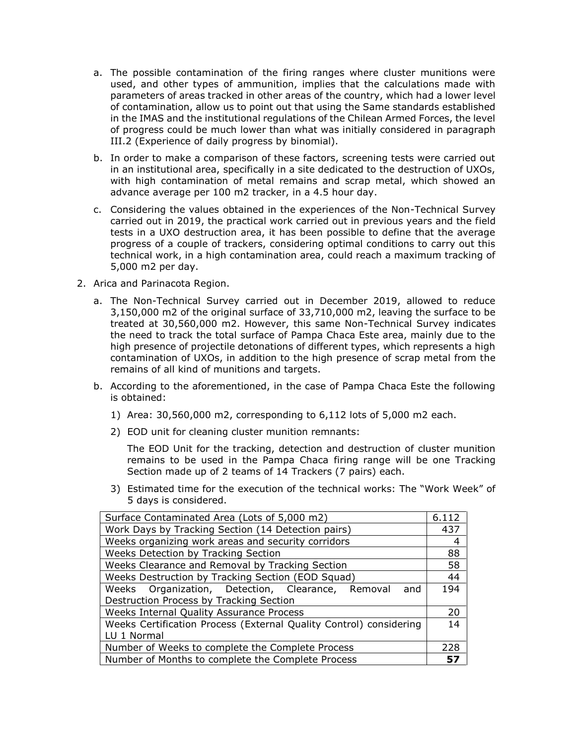- a. The possible contamination of the firing ranges where cluster munitions were used, and other types of ammunition, implies that the calculations made with parameters of areas tracked in other areas of the country, which had a lower level of contamination, allow us to point out that using the Same standards established in the IMAS and the institutional regulations of the Chilean Armed Forces, the level of progress could be much lower than what was initially considered in paragraph III.2 (Experience of daily progress by binomial).
- b. In order to make a comparison of these factors, screening tests were carried out in an institutional area, specifically in a site dedicated to the destruction of UXOs, with high contamination of metal remains and scrap metal, which showed an advance average per 100 m2 tracker, in a 4.5 hour day.
- c. Considering the values obtained in the experiences of the Non-Technical Survey carried out in 2019, the practical work carried out in previous years and the field tests in a UXO destruction area, it has been possible to define that the average progress of a couple of trackers, considering optimal conditions to carry out this technical work, in a high contamination area, could reach a maximum tracking of 5,000 m2 per day.
- 2. Arica and Parinacota Region.
	- a. The Non-Technical Survey carried out in December 2019, allowed to reduce 3,150,000 m2 of the original surface of 33,710,000 m2, leaving the surface to be treated at 30,560,000 m2. However, this same Non-Technical Survey indicates the need to track the total surface of Pampa Chaca Este area, mainly due to the high presence of projectile detonations of different types, which represents a high contamination of UXOs, in addition to the high presence of scrap metal from the remains of all kind of munitions and targets.
	- b. According to the aforementioned, in the case of Pampa Chaca Este the following is obtained:
		- 1) Area: 30,560,000 m2, corresponding to 6,112 lots of 5,000 m2 each.
		- 2) EOD unit for cleaning cluster munition remnants:

The EOD Unit for the tracking, detection and destruction of cluster munition remains to be used in the Pampa Chaca firing range will be one Tracking Section made up of 2 teams of 14 Trackers (7 pairs) each.

3) Estimated time for the execution of the technical works: The "Work Week" of 5 days is considered.

| Surface Contaminated Area (Lots of 5,000 m2)                       |     |  |  |  |  |
|--------------------------------------------------------------------|-----|--|--|--|--|
| Work Days by Tracking Section (14 Detection pairs)                 | 437 |  |  |  |  |
| Weeks organizing work areas and security corridors                 | 4   |  |  |  |  |
| Weeks Detection by Tracking Section                                | 88  |  |  |  |  |
| Weeks Clearance and Removal by Tracking Section                    | 58  |  |  |  |  |
| Weeks Destruction by Tracking Section (EOD Squad)                  | 44  |  |  |  |  |
| Weeks Organization, Detection, Clearance, Removal<br>and           |     |  |  |  |  |
| Destruction Process by Tracking Section                            |     |  |  |  |  |
| Weeks Internal Quality Assurance Process                           |     |  |  |  |  |
| Weeks Certification Process (External Quality Control) considering |     |  |  |  |  |
| LU 1 Normal                                                        |     |  |  |  |  |
| Number of Weeks to complete the Complete Process                   |     |  |  |  |  |
| Number of Months to complete the Complete Process                  | 57  |  |  |  |  |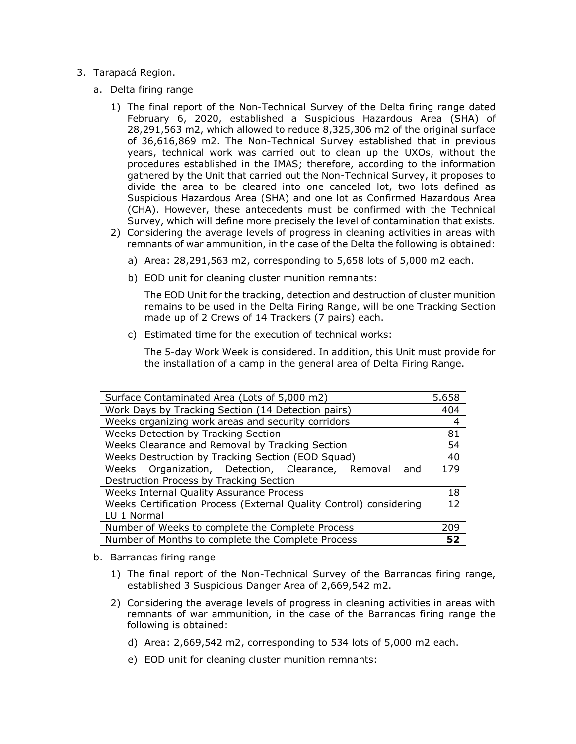- 3. Tarapacá Region.
	- a. Delta firing range
		- 1) The final report of the Non-Technical Survey of the Delta firing range dated February 6, 2020, established a Suspicious Hazardous Area (SHA) of 28,291,563 m2, which allowed to reduce 8,325,306 m2 of the original surface of 36,616,869 m2. The Non-Technical Survey established that in previous years, technical work was carried out to clean up the UXOs, without the procedures established in the IMAS; therefore, according to the information gathered by the Unit that carried out the Non-Technical Survey, it proposes to divide the area to be cleared into one canceled lot, two lots defined as Suspicious Hazardous Area (SHA) and one lot as Confirmed Hazardous Area (CHA). However, these antecedents must be confirmed with the Technical Survey, which will define more precisely the level of contamination that exists.
		- 2) Considering the average levels of progress in cleaning activities in areas with remnants of war ammunition, in the case of the Delta the following is obtained:
			- a) Area: 28,291,563 m2, corresponding to 5,658 lots of 5,000 m2 each.
			- b) EOD unit for cleaning cluster munition remnants:

The EOD Unit for the tracking, detection and destruction of cluster munition remains to be used in the Delta Firing Range, will be one Tracking Section made up of 2 Crews of 14 Trackers (7 pairs) each.

c) Estimated time for the execution of technical works:

The 5-day Work Week is considered. In addition, this Unit must provide for the installation of a camp in the general area of Delta Firing Range.

| Surface Contaminated Area (Lots of 5,000 m2)                       |     |  |  |  |
|--------------------------------------------------------------------|-----|--|--|--|
| Work Days by Tracking Section (14 Detection pairs)                 | 404 |  |  |  |
| Weeks organizing work areas and security corridors                 | 4   |  |  |  |
| Weeks Detection by Tracking Section                                | 81  |  |  |  |
| Weeks Clearance and Removal by Tracking Section                    | 54  |  |  |  |
| Weeks Destruction by Tracking Section (EOD Squad)                  |     |  |  |  |
| Weeks Organization, Detection, Clearance, Removal<br>and           |     |  |  |  |
| Destruction Process by Tracking Section                            |     |  |  |  |
| Weeks Internal Quality Assurance Process                           |     |  |  |  |
| Weeks Certification Process (External Quality Control) considering |     |  |  |  |
| LU 1 Normal                                                        |     |  |  |  |
| Number of Weeks to complete the Complete Process                   |     |  |  |  |
| Number of Months to complete the Complete Process                  | 52  |  |  |  |

- b. Barrancas firing range
	- 1) The final report of the Non-Technical Survey of the Barrancas firing range, established 3 Suspicious Danger Area of 2,669,542 m2.
	- 2) Considering the average levels of progress in cleaning activities in areas with remnants of war ammunition, in the case of the Barrancas firing range the following is obtained:
		- d) Area: 2,669,542 m2, corresponding to 534 lots of 5,000 m2 each.
		- e) EOD unit for cleaning cluster munition remnants: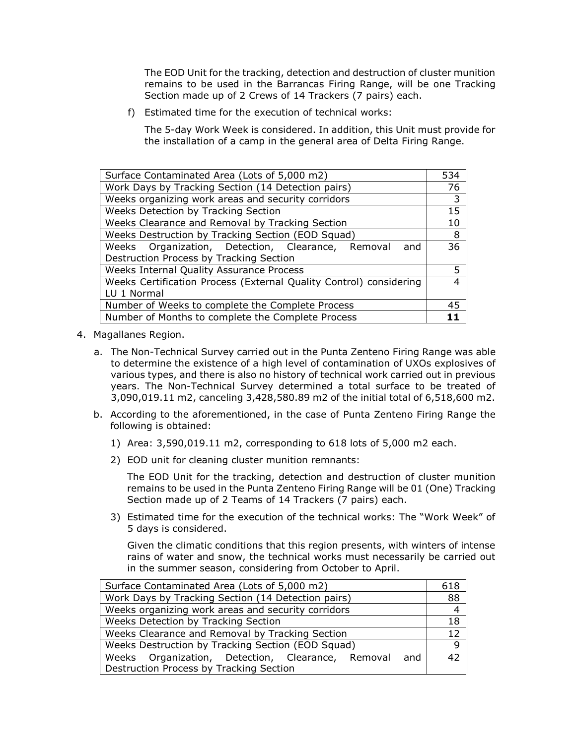The EOD Unit for the tracking, detection and destruction of cluster munition remains to be used in the Barrancas Firing Range, will be one Tracking Section made up of 2 Crews of 14 Trackers (7 pairs) each.

f) Estimated time for the execution of technical works:

The 5-day Work Week is considered. In addition, this Unit must provide for the installation of a camp in the general area of Delta Firing Range.

| Surface Contaminated Area (Lots of 5,000 m2)                       |    |  |  |
|--------------------------------------------------------------------|----|--|--|
| Work Days by Tracking Section (14 Detection pairs)                 | 76 |  |  |
| Weeks organizing work areas and security corridors                 | -3 |  |  |
| Weeks Detection by Tracking Section                                | 15 |  |  |
| Weeks Clearance and Removal by Tracking Section                    | 10 |  |  |
| Weeks Destruction by Tracking Section (EOD Squad)                  | -8 |  |  |
| Weeks Organization, Detection, Clearance, Removal<br>and           |    |  |  |
| Destruction Process by Tracking Section                            |    |  |  |
| Weeks Internal Quality Assurance Process                           |    |  |  |
| Weeks Certification Process (External Quality Control) considering |    |  |  |
| LU 1 Normal                                                        |    |  |  |
| Number of Weeks to complete the Complete Process                   | 45 |  |  |
| Number of Months to complete the Complete Process                  | 11 |  |  |
|                                                                    |    |  |  |

- 4. Magallanes Region.
	- a. The Non-Technical Survey carried out in the Punta Zenteno Firing Range was able to determine the existence of a high level of contamination of UXOs explosives of various types, and there is also no history of technical work carried out in previous years. The Non-Technical Survey determined a total surface to be treated of 3,090,019.11 m2, canceling 3,428,580.89 m2 of the initial total of 6,518,600 m2.
	- b. According to the aforementioned, in the case of Punta Zenteno Firing Range the following is obtained:
		- 1) Area: 3,590,019.11 m2, corresponding to 618 lots of 5,000 m2 each.
		- 2) EOD unit for cleaning cluster munition remnants:

The EOD Unit for the tracking, detection and destruction of cluster munition remains to be used in the Punta Zenteno Firing Range will be 01 (One) Tracking Section made up of 2 Teams of 14 Trackers (7 pairs) each.

3) Estimated time for the execution of the technical works: The "Work Week" of 5 days is considered.

Given the climatic conditions that this region presents, with winters of intense rains of water and snow, the technical works must necessarily be carried out in the summer season, considering from October to April.

| Surface Contaminated Area (Lots of 5,000 m2)             |    |  |  |  |  |
|----------------------------------------------------------|----|--|--|--|--|
| Work Days by Tracking Section (14 Detection pairs)       | 88 |  |  |  |  |
| Weeks organizing work areas and security corridors       |    |  |  |  |  |
| Weeks Detection by Tracking Section                      |    |  |  |  |  |
| Weeks Clearance and Removal by Tracking Section          |    |  |  |  |  |
| Weeks Destruction by Tracking Section (EOD Squad)        |    |  |  |  |  |
| Weeks Organization, Detection, Clearance, Removal<br>and |    |  |  |  |  |
| Destruction Process by Tracking Section                  |    |  |  |  |  |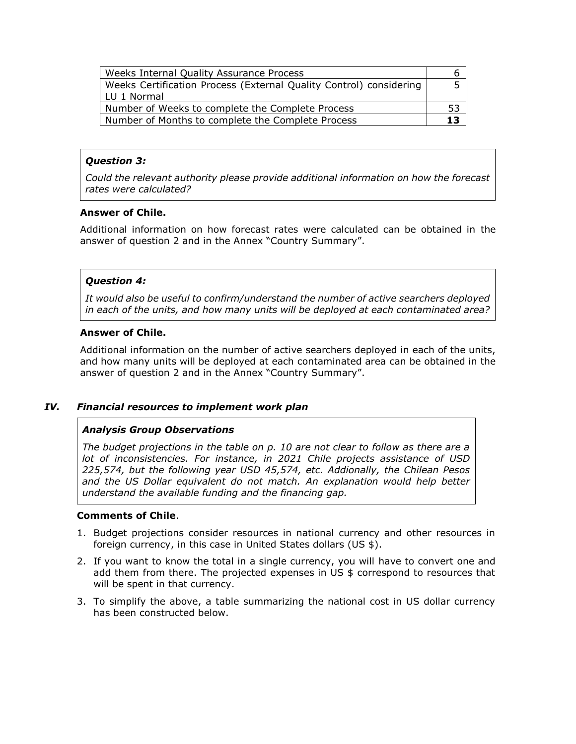| Weeks Internal Quality Assurance Process                           |    |
|--------------------------------------------------------------------|----|
| Weeks Certification Process (External Quality Control) considering |    |
| LU 1 Normal                                                        |    |
| Number of Weeks to complete the Complete Process                   |    |
| Number of Months to complete the Complete Process                  | 13 |

### *Question 3:*

*Could the relevant authority please provide additional information on how the forecast rates were calculated?*

#### **Answer of Chile.**

Additional information on how forecast rates were calculated can be obtained in the answer of question 2 and in the Annex "Country Summary".

#### *Question 4:*

*It would also be useful to confirm/understand the number of active searchers deployed in each of the units, and how many units will be deployed at each contaminated area?*

#### **Answer of Chile.**

Additional information on the number of active searchers deployed in each of the units, and how many units will be deployed at each contaminated area can be obtained in the answer of question 2 and in the Annex "Country Summary".

#### *IV. Financial resources to implement work plan*

#### *Analysis Group Observations*

*The budget projections in the table on p. 10 are not clear to follow as there are a lot of inconsistencies. For instance, in 2021 Chile projects assistance of USD 225,574, but the following year USD 45,574, etc. Addionally, the Chilean Pesos and the US Dollar equivalent do not match. An explanation would help better understand the available funding and the financing gap.*

#### **Comments of Chile**.

- 1. Budget projections consider resources in national currency and other resources in foreign currency, in this case in United States dollars (US \$).
- 2. If you want to know the total in a single currency, you will have to convert one and add them from there. The projected expenses in US  $$$  correspond to resources that will be spent in that currency.
- 3. To simplify the above, a table summarizing the national cost in US dollar currency has been constructed below.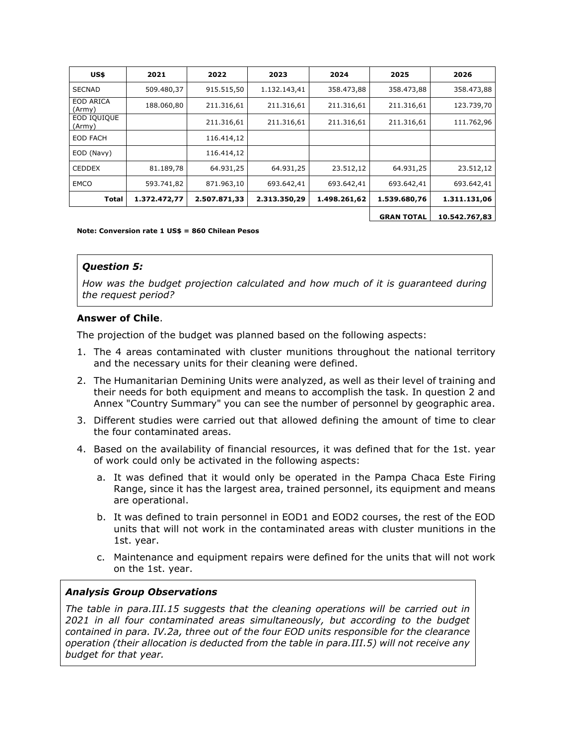| US\$                  | 2021         | 2022         | 2023         | 2024         | 2025         | 2026         |
|-----------------------|--------------|--------------|--------------|--------------|--------------|--------------|
| <b>SECNAD</b>         | 509.480,37   | 915.515,50   | 1.132.143,41 | 358.473,88   | 358.473,88   | 358.473,88   |
| EOD ARICA<br>(Army)   | 188.060,80   | 211.316,61   | 211.316,61   | 211.316,61   | 211.316,61   | 123.739,70   |
| EOD IQUIQUE<br>(Army) |              | 211.316,61   | 211.316,61   | 211.316,61   | 211.316,61   | 111.762,96   |
| <b>EOD FACH</b>       |              | 116.414,12   |              |              |              |              |
| EOD (Navy)            |              | 116.414,12   |              |              |              |              |
| <b>CEDDEX</b>         | 81.189,78    | 64.931,25    | 64.931,25    | 23.512,12    | 64.931,25    | 23.512,12    |
| <b>EMCO</b>           | 593.741,82   | 871.963,10   | 693.642,41   | 693.642,41   | 693.642,41   | 693.642.41   |
| <b>Total</b>          | 1.372.472,77 | 2.507.871,33 | 2.313.350,29 | 1.498.261,62 | 1.539.680,76 | 1.311.131,06 |
|                       |              |              |              |              |              |              |

**GRAN TOTAL 10.542.767,83**

#### **Note: Conversion rate 1 US\$ = 860 Chilean Pesos**

### *Question 5:*

*How was the budget projection calculated and how much of it is guaranteed during the request period?*

#### **Answer of Chile**.

The projection of the budget was planned based on the following aspects:

- 1. The 4 areas contaminated with cluster munitions throughout the national territory and the necessary units for their cleaning were defined.
- 2. The Humanitarian Demining Units were analyzed, as well as their level of training and their needs for both equipment and means to accomplish the task. In question 2 and Annex "Country Summary" you can see the number of personnel by geographic area.
- 3. Different studies were carried out that allowed defining the amount of time to clear the four contaminated areas.
- 4. Based on the availability of financial resources, it was defined that for the 1st. year of work could only be activated in the following aspects:
	- a. It was defined that it would only be operated in the Pampa Chaca Este Firing Range, since it has the largest area, trained personnel, its equipment and means are operational.
	- b. It was defined to train personnel in EOD1 and EOD2 courses, the rest of the EOD units that will not work in the contaminated areas with cluster munitions in the 1st. year.
	- c. Maintenance and equipment repairs were defined for the units that will not work on the 1st. year.

#### *Analysis Group Observations*

*The table in para.III.15 suggests that the cleaning operations will be carried out in 2021 in all four contaminated areas simultaneously, but according to the budget contained in para. IV.2a, three out of the four EOD units responsible for the clearance operation (their allocation is deducted from the table in para.III.5) will not receive any budget for that year.*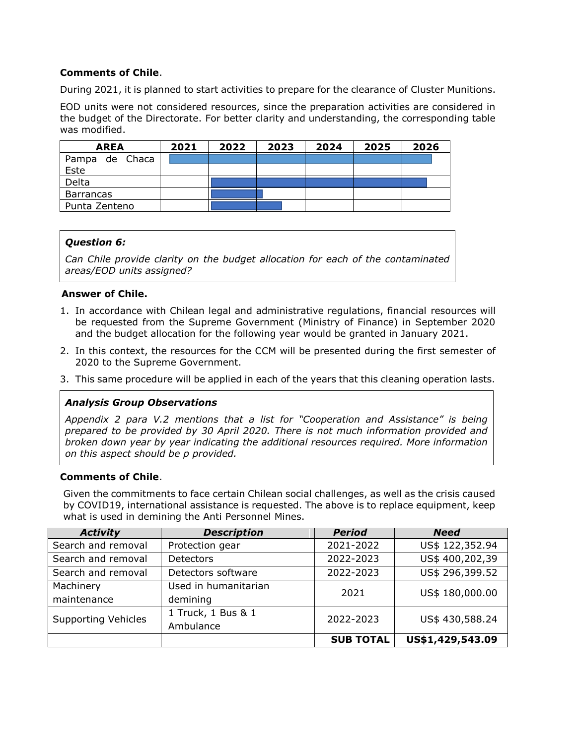### **Comments of Chile**.

During 2021, it is planned to start activities to prepare for the clearance of Cluster Munitions.

EOD units were not considered resources, since the preparation activities are considered in the budget of the Directorate. For better clarity and understanding, the corresponding table was modified.

| <b>AREA</b>      | 2021 | 2022 | 2023 | 2024 | 2025 | 2026 |
|------------------|------|------|------|------|------|------|
| Pampa de Chaca   |      |      |      |      |      |      |
| Este             |      |      |      |      |      |      |
| Delta            |      |      |      |      |      |      |
| <b>Barrancas</b> |      |      |      |      |      |      |
| Punta Zenteno    |      |      |      |      |      |      |

## *Question 6:*

*Can Chile provide clarity on the budget allocation for each of the contaminated areas/EOD units assigned?*

### **Answer of Chile.**

- 1. In accordance with Chilean legal and administrative regulations, financial resources will be requested from the Supreme Government (Ministry of Finance) in September 2020 and the budget allocation for the following year would be granted in January 2021.
- 2. In this context, the resources for the CCM will be presented during the first semester of 2020 to the Supreme Government.
- 3. This same procedure will be applied in each of the years that this cleaning operation lasts.

### *Analysis Group Observations*

*Appendix 2 para V.2 mentions that a list for "Cooperation and Assistance" is being prepared to be provided by 30 April 2020. There is not much information provided and broken down year by year indicating the additional resources required. More information on this aspect should be p provided.*

#### **Comments of Chile**.

Given the commitments to face certain Chilean social challenges, as well as the crisis caused by COVID19, international assistance is requested. The above is to replace equipment, keep what is used in demining the Anti Personnel Mines.

| <b>Activity</b>            | <b>Description</b>               | <b>Period</b>    | <b>Need</b>      |
|----------------------------|----------------------------------|------------------|------------------|
| Search and removal         | Protection gear                  | 2021-2022        | US\$ 122,352.94  |
| Search and removal         | <b>Detectors</b>                 | 2022-2023        | US\$ 400,202,39  |
| Search and removal         | Detectors software               | 2022-2023        | US\$ 296,399.52  |
| Machinery<br>maintenance   | Used in humanitarian<br>demining | 2021             | US\$ 180,000.00  |
| <b>Supporting Vehicles</b> | 1 Truck, 1 Bus & 1<br>Ambulance  | 2022-2023        | US\$ 430,588.24  |
|                            |                                  | <b>SUB TOTAL</b> | US\$1,429,543.09 |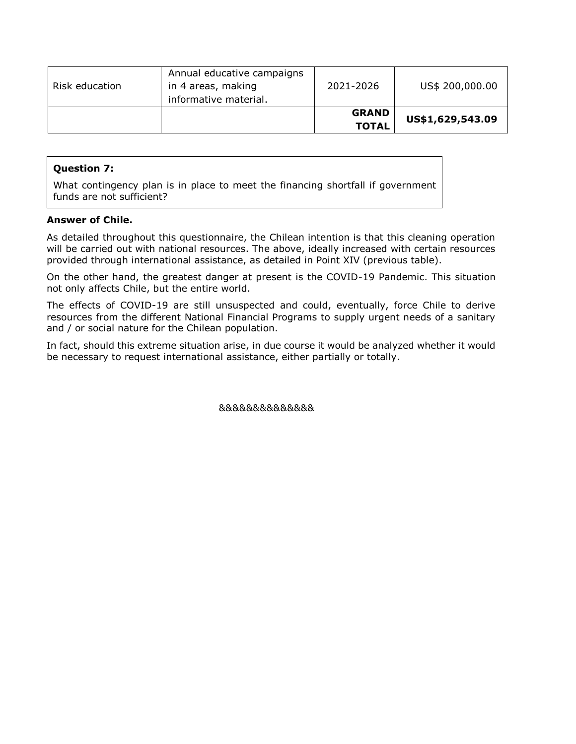| Risk education | Annual educative campaigns<br>in 4 areas, making<br>informative material. | 2021-2026                    | US\$ 200,000.00  |
|----------------|---------------------------------------------------------------------------|------------------------------|------------------|
|                |                                                                           | <b>GRAND</b><br><b>TOTAL</b> | US\$1,629,543.09 |

### **Question 7:**

What contingency plan is in place to meet the financing shortfall if government funds are not sufficient?

#### **Answer of Chile.**

As detailed throughout this questionnaire, the Chilean intention is that this cleaning operation will be carried out with national resources. The above, ideally increased with certain resources provided through international assistance, as detailed in Point XIV (previous table).

On the other hand, the greatest danger at present is the COVID-19 Pandemic. This situation not only affects Chile, but the entire world.

The effects of COVID-19 are still unsuspected and could, eventually, force Chile to derive resources from the different National Financial Programs to supply urgent needs of a sanitary and / or social nature for the Chilean population.

In fact, should this extreme situation arise, in due course it would be analyzed whether it would be necessary to request international assistance, either partially or totally.

&&&&&&&&&&&&&&